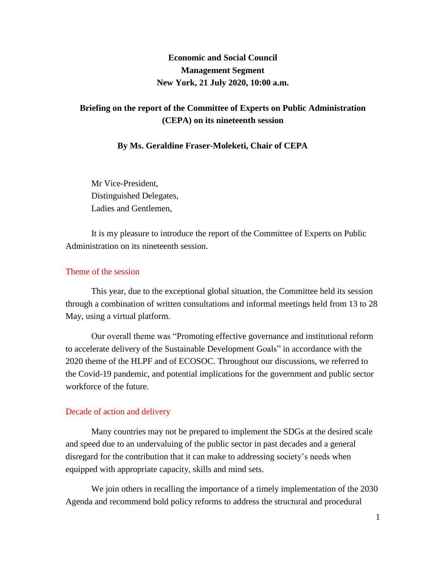# **Economic and Social Council Management Segment New York, 21 July 2020, 10:00 a.m.**

## **Briefing on the report of the Committee of Experts on Public Administration (CEPA) on its nineteenth session**

#### **By Ms. Geraldine Fraser-Moleketi, Chair of CEPA**

Mr Vice-President, Distinguished Delegates, Ladies and Gentlemen,

It is my pleasure to introduce the report of the Committee of Experts on Public Administration on its nineteenth session.

## Theme of the session

This year, due to the exceptional global situation, the Committee held its session through a combination of written consultations and informal meetings held from 13 to 28 May, using a virtual platform.

Our overall theme was "Promoting effective governance and institutional reform to accelerate delivery of the Sustainable Development Goals" in accordance with the 2020 theme of the HLPF and of ECOSOC. Throughout our discussions, we referred to the Covid-19 pandemic, and potential implications for the government and public sector workforce of the future.

#### Decade of action and delivery

Many countries may not be prepared to implement the SDGs at the desired scale and speed due to an undervaluing of the public sector in past decades and a general disregard for the contribution that it can make to addressing society's needs when equipped with appropriate capacity, skills and mind sets.

We join others in recalling the importance of a timely implementation of the 2030 Agenda and recommend bold policy reforms to address the structural and procedural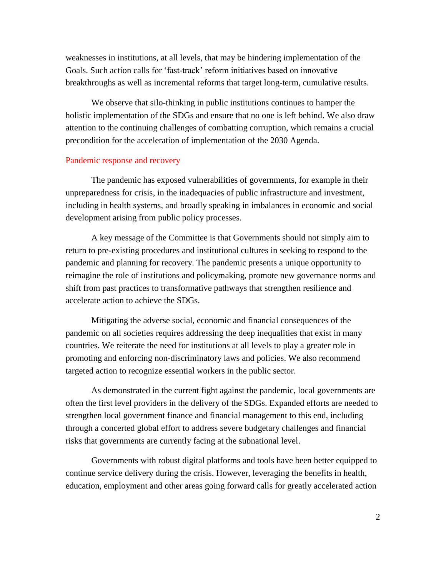weaknesses in institutions, at all levels, that may be hindering implementation of the Goals. Such action calls for 'fast-track' reform initiatives based on innovative breakthroughs as well as incremental reforms that target long-term, cumulative results.

We observe that silo-thinking in public institutions continues to hamper the holistic implementation of the SDGs and ensure that no one is left behind. We also draw attention to the continuing challenges of combatting corruption, which remains a crucial precondition for the acceleration of implementation of the 2030 Agenda.

#### Pandemic response and recovery

The pandemic has exposed vulnerabilities of governments, for example in their unpreparedness for crisis, in the inadequacies of public infrastructure and investment, including in health systems, and broadly speaking in imbalances in economic and social development arising from public policy processes.

A key message of the Committee is that Governments should not simply aim to return to pre-existing procedures and institutional cultures in seeking to respond to the pandemic and planning for recovery. The pandemic presents a unique opportunity to reimagine the role of institutions and policymaking, promote new governance norms and shift from past practices to transformative pathways that strengthen resilience and accelerate action to achieve the SDGs.

Mitigating the adverse social, economic and financial consequences of the pandemic on all societies requires addressing the deep inequalities that exist in many countries. We reiterate the need for institutions at all levels to play a greater role in promoting and enforcing non-discriminatory laws and policies. We also recommend targeted action to recognize essential workers in the public sector.

As demonstrated in the current fight against the pandemic, local governments are often the first level providers in the delivery of the SDGs. Expanded efforts are needed to strengthen local government finance and financial management to this end, including through a concerted global effort to address severe budgetary challenges and financial risks that governments are currently facing at the subnational level.

Governments with robust digital platforms and tools have been better equipped to continue service delivery during the crisis. However, leveraging the benefits in health, education, employment and other areas going forward calls for greatly accelerated action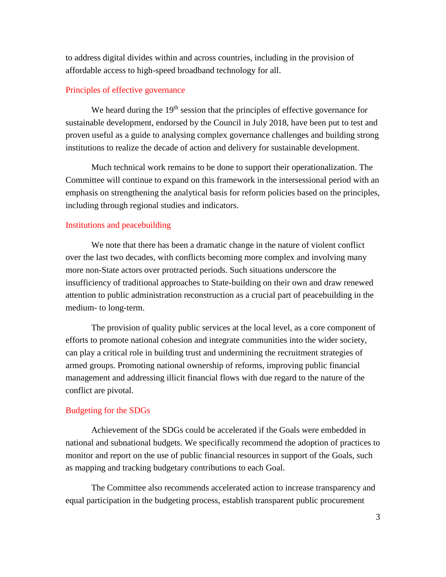to address digital divides within and across countries, including in the provision of affordable access to high-speed broadband technology for all.

## Principles of effective governance

We heard during the 19<sup>th</sup> session that the principles of effective governance for sustainable development, endorsed by the Council in July 2018, have been put to test and proven useful as a guide to analysing complex governance challenges and building strong institutions to realize the decade of action and delivery for sustainable development.

Much technical work remains to be done to support their operationalization. The Committee will continue to expand on this framework in the intersessional period with an emphasis on strengthening the analytical basis for reform policies based on the principles, including through regional studies and indicators.

#### Institutions and peacebuilding

We note that there has been a dramatic change in the nature of violent conflict over the last two decades, with conflicts becoming more complex and involving many more non-State actors over protracted periods. Such situations underscore the insufficiency of traditional approaches to State-building on their own and draw renewed attention to public administration reconstruction as a crucial part of peacebuilding in the medium- to long-term.

The provision of quality public services at the local level, as a core component of efforts to promote national cohesion and integrate communities into the wider society, can play a critical role in building trust and undermining the recruitment strategies of armed groups. Promoting national ownership of reforms, improving public financial management and addressing illicit financial flows with due regard to the nature of the conflict are pivotal.

## Budgeting for the SDGs

Achievement of the SDGs could be accelerated if the Goals were embedded in national and subnational budgets. We specifically recommend the adoption of practices to monitor and report on the use of public financial resources in support of the Goals, such as mapping and tracking budgetary contributions to each Goal.

The Committee also recommends accelerated action to increase transparency and equal participation in the budgeting process, establish transparent public procurement